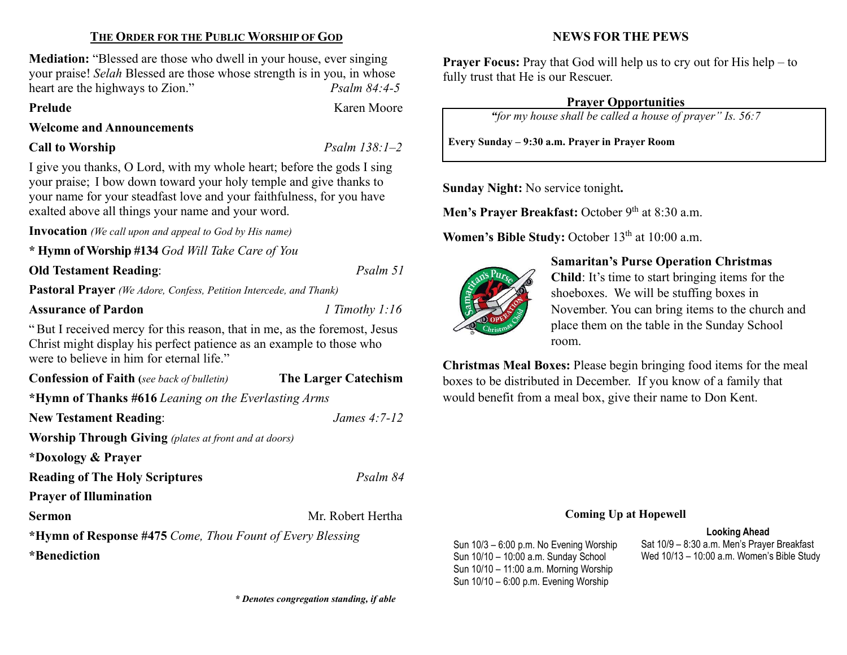# THE ORDER FOR THE PUBLIC WORSHIP OF GOD

Mediation: "Blessed are those who dwell in your house, ever singing your praise! Selah Blessed are those whose strength is in you, in whose heart are the highways to Zion." Psalm 84:4-5

## Prelude Karen Moore

Welcome and Announcements

# Call to Worship  $Psalm 138:1-2$

I give you thanks, O Lord, with my whole heart; before the gods I sing your praise; I bow down toward your holy temple and give thanks to your name for your steadfast love and your faithfulness, for you have exalted above all things your name and your word.

Invocation (We call upon and appeal to God by His name)

\* Hymn of Worship #134 God Will Take Care of You

Old Testament Reading: Psalm 51

Pastoral Prayer (We Adore, Confess, Petition Intercede, and Thank)

## Assurance of Pardon 1 Timothy 1:16

"But I received mercy for this reason, that in me, as the foremost, Jesus Christ might display his perfect patience as an example to those who were to believe in him for eternal life."

Confession of Faith (see back of bulletin) The Larger Catechism

\*Hymn of Thanks #616 Leaning on the Everlasting Arms

New Testament Reading: *James 4:7-12* 

Worship Through Giving (plates at front and at doors)

\*Doxology & Prayer

**Reading of The Holy Scriptures** Psalm 84

Prayer of Illumination

Sermon Mr. Robert Hertha

\*Hymn of Response #475 Come, Thou Fount of Every Blessing \*Benediction

# NEWS FOR THE PEWS

**Prayer Focus:** Pray that God will help us to cry out for His help – to fully trust that He is our Rescuer.

# Prayer Opportunities

"for my house shall be called a house of prayer" Is. 56:7

Every Sunday – 9:30 a.m. Prayer in Prayer Room

Sunday Night: No service tonight.

Men's Prayer Breakfast: October  $9<sup>th</sup>$  at 8:30 a.m.

Women's Bible Study: October 13<sup>th</sup> at 10:00 a.m.



# Samaritan's Purse Operation Christmas

Child: It's time to start bringing items for the shoeboxes. We will be stuffing boxes in November. You can bring items to the church and place them on the table in the Sunday School room.

Christmas Meal Boxes: Please begin bringing food items for the meal boxes to be distributed in December. If you know of a family that would benefit from a meal box, give their name to Don Kent.

## Coming Up at Hopewell

#### Looking Ahead

Sun 10/3 – 6:00 p.m. No Evening Worship Sun 10/10 – 10:00 a.m. Sunday School Sun 10/10 – 11:00 a.m. Morning Worship Sun 10/10 – 6:00 p.m. Evening Worship

Sat 10/9 – 8:30 a.m. Men's Prayer Breakfast Wed 10/13 – 10:00 a.m. Women's Bible Study